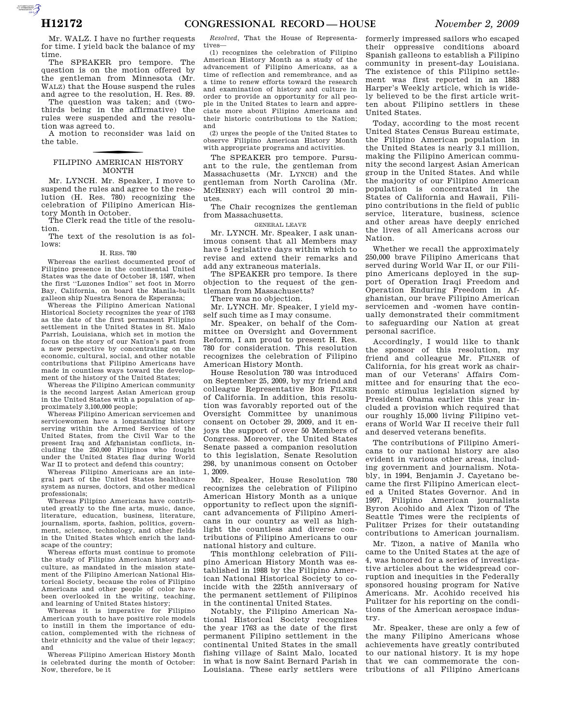**AUTOROUGHTER** 

Mr. WALZ. I have no further requests for time. I yield back the balance of my time.

The SPEAKER pro tempore. The question is on the motion offered by the gentleman from Minnesota (Mr. WALZ) that the House suspend the rules and agree to the resolution, H. Res. 89.

The question was taken; and (twothirds being in the affirmative) the rules were suspended and the resolution was agreed to.

A motion to reconsider was laid on the table.

## f FILIPINO AMERICAN HISTORY MONTH

Mr. LYNCH. Mr. Speaker, I move to suspend the rules and agree to the resolution (H. Res. 780) recognizing the celebration of Filipino American History Month in October.

The Clerk read the title of the resolution.

The text of the resolution is as follows:

#### H. RES. 780

Whereas the earliest documented proof of Filipino presence in the continental United States was the date of October 18, 1587, when the first ''Luzones Indios'' set foot in Morro Bay, California, on board the Manila-built galleon ship Nuestra Senora de Esperanza;

Whereas the Filipino American National Historical Society recognizes the year of 1763 as the date of the first permanent Filipino settlement in the United States in St. Malo Parrish, Louisiana, which set in motion the focus on the story of our Nation's past from a new perspective by concentrating on the economic, cultural, social, and other notable contributions that Filipino Americans have made in countless ways toward the development of the history of the United States;

Whereas the Filipino American community is the second largest Asian American group in the United States with a population of approximately 3,100,000 people;

Whereas Filipino American servicemen and servicewomen have a longstanding history serving within the Armed Services of the United States, from the Civil War to the present Iraq and Afghanistan conflicts, including the 250,000 Filipinos who fought under the United States flag during World War II to protect and defend this country;

Whereas Filipino Americans are an integral part of the United States healthcare system as nurses, doctors, and other medical professionals;

Whereas Filipino Americans have contributed greatly to the fine arts, music, dance, literature, education, business, literature, journalism, sports, fashion, politics, government, science, technology, and other fields in the United States which enrich the landscape of the country:

Whereas efforts must continue to promote the study of Filipino American history and culture, as mandated in the mission statement of the Filipino American National Historical Society, because the roles of Filipino Americans and other people of color have been overlooked in the writing, teaching, and learning of United States history;

Whereas it is imperative for Filipino American youth to have positive role models to instill in them the importance of education, complemented with the richness of their ethnicity and the value of their legacy; and

Whereas Filipino American History Month is celebrated during the month of October: Now, therefore, be it

*Resolved,* That the House of Representatives—

(1) recognizes the celebration of Filipino American History Month as a study of the advancement of Filipino Americans, as a time of reflection and remembrance, and as a time to renew efforts toward the research and examination of history and culture in order to provide an opportunity for all people in the United States to learn and appreciate more about Filipino Americans and their historic contributions to the Nation; and

(2) urges the people of the United States to observe Filipino American History Month with appropriate programs and activities.

The SPEAKER pro tempore. Pursuant to the rule, the gentleman from Massachusetts (Mr. LYNCH) and the gentleman from North Carolina (Mr. MCHENRY) each will control 20 minutes.

The Chair recognizes the gentleman from Massachusetts.

#### GENERAL LEAVE

Mr. LYNCH. Mr. Speaker, I ask unanimous consent that all Members may have 5 legislative days within which to revise and extend their remarks and add any extraneous materials.

The SPEAKER pro tempore. Is there objection to the request of the gentleman from Massachusetts?

There was no objection.

Mr. LYNCH. Mr. Speaker, I yield myself such time as I may consume.

Mr. Speaker, on behalf of the Committee on Oversight and Government Reform, I am proud to present H. Res. 780 for consideration. This resolution recognizes the celebration of Filipino American History Month.

House Resolution 780 was introduced on September 25, 2009, by my friend and colleague Representative BOB FILNER of California. In addition, this resolution was favorably reported out of the Oversight Committee by unanimous consent on October 29, 2009, and it enjoys the support of over 50 Members of Congress. Moreover, the United States Senate passed a companion resolution to this legislation, Senate Resolution 298, by unanimous consent on October 1, 2009.

Mr. Speaker, House Resolution 780 recognizes the celebration of Filipino American History Month as a unique opportunity to reflect upon the significant advancements of Filipino Americans in our country as well as highlight the countless and diverse contributions of Filipino Americans to our national history and culture.

This monthlong celebration of Filipino American History Month was established in 1988 by the Filipino American National Historical Society to coincide with the 225th anniversary of the permanent settlement of Filipinos in the continental United States.

Notably, the Filipino American National Historical Society recognizes the year 1763 as the date of the first permanent Filipino settlement in the continental United States in the small fishing village of Saint Malo, located in what is now Saint Bernard Parish in Louisiana. These early settlers were

formerly impressed sailors who escaped their oppressive conditions aboard Spanish galleons to establish a Filipino community in present-day Louisiana. The existence of this Filipino settlement was first reported in an 1883 Harper's Weekly article, which is widely believed to be the first article written about Filipino settlers in these United States.

Today, according to the most recent United States Census Bureau estimate, the Filipino American population in the United States is nearly 3.1 million, making the Filipino American community the second largest Asian American group in the United States. And while the majority of our Filipino American population is concentrated in the States of California and Hawaii, Filipino contributions in the field of public service, literature, business, science and other areas have deeply enriched the lives of all Americans across our Nation.

Whether we recall the approximately 250,000 brave Filipino Americans that served during World War II, or our Filipino Americans deployed in the support of Operation Iraqi Freedom and Operation Enduring Freedom in Afghanistan, our brave Filipino American servicemen and -women have continually demonstrated their commitment to safeguarding our Nation at great personal sacrifice.

Accordingly, I would like to thank the sponsor of this resolution, my friend and colleague Mr. FILNER of California, for his great work as chairman of our Veterans' Affairs Committee and for ensuring that the economic stimulus legislation signed by President Obama earlier this year included a provision which required that our roughly 15,000 living Filipino veterans of World War II receive their full and deserved veterans benefits.

The contributions of Filipino Americans to our national history are also evident in various other areas, including government and journalism. Notably, in 1994, Benjamin J. Cayetano became the first Filipino American elected a United States Governor. And in 1997, Filipino American journalists Byron Acohido and Alex Tizon of The Seattle Times were the recipients of Pulitzer Prizes for their outstanding contributions to American journalism.

Mr. Tizon, a native of Manila who came to the United States at the age of 4, was honored for a series of investigative articles about the widespread corruption and inequities in the Federally sponsored housing program for Native Americans. Mr. Acohido received his Pulitzer for his reporting on the conditions of the American aerospace industry.

Mr. Speaker, these are only a few of the many Filipino Americans whose achievements have greatly contributed to our national history. It is my hope that we can commemorate the contributions of all Filipino Americans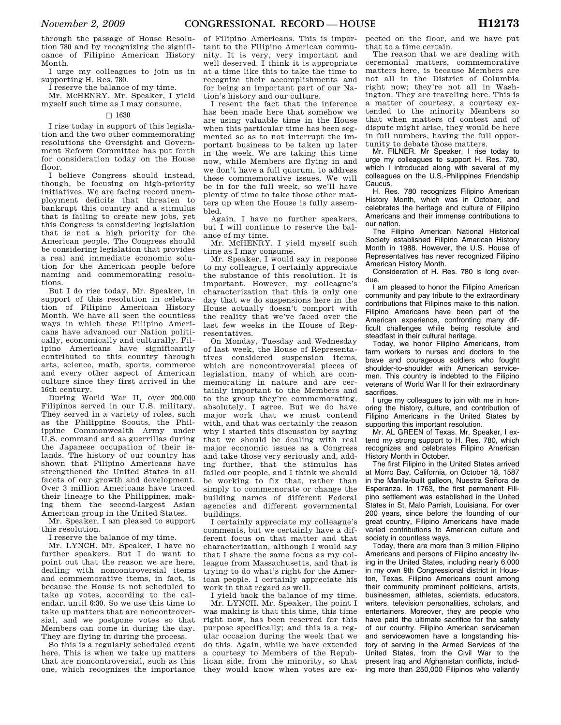through the passage of House Resolution 780 and by recognizing the significance of Filipino American History Month.

I urge my colleagues to join us in supporting H. Res. 780.

I reserve the balance of my time. Mr. MCHENRY. Mr. Speaker, I yield myself such time as I may consume.

### $\square$  1630

I rise today in support of this legislation and the two other commemorating resolutions the Oversight and Government Reform Committee has put forth for consideration today on the House floor.

I believe Congress should instead, though, be focusing on high-priority initiatives. We are facing record unemployment deficits that threaten to bankrupt this country and a stimulus that is failing to create new jobs, yet this Congress is considering legislation that is not a high priority for the American people. The Congress should be considering legislation that provides a real and immediate economic solution for the American people before naming and commemorating resolutions.

But I do rise today, Mr. Speaker, in support of this resolution in celebration of Filipino American History Month. We have all seen the countless ways in which these Filipino Americans have advanced our Nation politically, economically and culturally. Filipino Americans have significantly contributed to this country through arts, science, math, sports, commerce and every other aspect of American culture since they first arrived in the 16th century.

During World War II, over 200,000 Filipinos served in our U.S. military. They served in a variety of roles, such as the Philippine Scouts, the Philippine Commonwealth Army under U.S. command and as guerrillas during the Japanese occupation of their islands. The history of our country has shown that Filipino Americans have strengthened the United States in all facets of our growth and development. Over 3 million Americans have traced their lineage to the Philippines, making them the second-largest Asian American group in the United States.

Mr. Speaker, I am pleased to support this resolution.

I reserve the balance of my time.

Mr. LYNCH. Mr. Speaker, I have no further speakers. But I do want to point out that the reason we are here, dealing with noncontroversial items and commemorative items, in fact, is because the House is not scheduled to take up votes, according to the calendar, until 6:30. So we use this time to take up matters that are noncontroversial, and we postpone votes so that Members can come in during the day. They are flying in during the process.

So this is a regularly scheduled event here. This is when we take up matters that are noncontroversial, such as this one, which recognizes the importance

of Filipino Americans. This is important to the Filipino American community. It is very, very important and well deserved. I think it is appropriate at a time like this to take the time to recognize their accomplishments and for being an important part of our Nation's history and our culture.

I resent the fact that the inference has been made here that somehow we are using valuable time in the House when this particular time has been segmented so as to not interrupt the important business to be taken up later in the week. We are taking this time now, while Members are flying in and we don't have a full quorum, to address these commemorative issues. We will be in for the full week, so we'll have plenty of time to take those other matters up when the House is fully assembled.

Again, I have no further speakers, but I will continue to reserve the balance of my time.

Mr. MCHENRY. I yield myself such time as I may consume.

Mr. Speaker, I would say in response to my colleague, I certainly appreciate the substance of this resolution. It is important. However, my colleague's characterization that this is only one day that we do suspensions here in the House actually doesn't comport with the reality that we've faced over the last few weeks in the House of Representatives.

On Monday, Tuesday and Wednesday of last week, the House of Representatives considered suspension items, which are noncontroversial pieces of legislation, many of which are commemorating in nature and are certainly important to the Members and to the group they're commemorating, absolutely. I agree. But we do have major work that we must contend with, and that was certainly the reason why I started this discussion by saying that we should be dealing with real major economic issues as a Congress and take those very seriously and, adding further, that the stimulus has failed our people, and I think we should be working to fix that, rather than simply to commemorate or change the building names of different Federal agencies and different governmental buildings.

I certainly appreciate my colleague's comments, but we certainly have a different focus on that matter and that characterization, although I would say that I share the same focus as my colleague from Massachusetts, and that is trying to do what's right for the American people. I certainly appreciate his work in that regard as well.

I yield back the balance of my time. Mr. LYNCH. Mr. Speaker, the point I was making is that this time, this time right now, has been reserved for this purpose specifically; and this is a regular occasion during the week that we do this. Again, while we have extended a courtesy to Members of the Republican side, from the minority, so that they would know when votes are ex-

pected on the floor, and we have put that to a time certain.

The reason that we are dealing with ceremonial matters, commemorative matters here, is because Members are not all in the District of Columbia right now; they're not all in Washington. They are traveling here. This is a matter of courtesy, a courtesy extended to the minority Members so that when matters of contest and of dispute might arise, they would be here in full numbers, having the full opportunity to debate those matters.

Mr. FILNER. Mr Speaker, I rise today to urge my colleagues to support H. Res. 780, which I introduced along with several of my colleagues on the U.S.-Philippines Friendship Caucus.

H. Res. 780 recognizes Filipino American History Month, which was in October, and celebrates the heritage and culture of Filipino Americans and their immense contributions to our nation.

The Filipino American National Historical Society established Filipino American History Month in 1988. However, the U.S. House of Representatives has never recognized Filipino American History Month.

Consideration of H. Res. 780 is long overdue.

I am pleased to honor the Filipino American community and pay tribute to the extraordinary contributions that Filipinos make to this nation. Filipino Americans have been part of the American experience, confronting many difficult challenges while being resolute and steadfast in their cultural heritage.

Today, we honor Filipino Americans, from farm workers to nurses and doctors to the brave and courageous soldiers who fought shoulder-to-shoulder with American servicemen. This country is indebted to the Filipino veterans of World War II for their extraordinary sacrifices.

I urge my colleagues to join with me in honoring the history, culture, and contribution of Filipino Americans in the United States by supporting this important resolution.

Mr. AL GREEN of Texas. Mr. Speaker, I extend my strong support to H. Res. 780, which recognizes and celebrates Filipino American History Month in October.

The first Filipino in the United States arrived at Morro Bay, California, on October 18, 1587 in the Manila-built galleon, Nuestra Señora de Esperanza. In 1763, the first permanent Filipino settlement was established in the United States in St. Malo Parrish, Louisiana. For over 200 years, since before the founding of our great country, Filipino Americans have made varied contributions to American culture and society in countless ways.

Today, there are more than 3 million Filipino Americans and persons of Filipino ancestry living in the United States, including nearly 6,000 in my own 9th Congressional district in Houston, Texas. Filipino Americans count among their community prominent politicians, artists, businessmen, athletes, scientists, educators, writers, television personalities, scholars, and entertainers. Moreover, they are people who have paid the ultimate sacrifice for the safety of our country. Filipino American servicemen and servicewomen have a longstanding history of serving in the Armed Services of the United States, from the Civil War to the present Iraq and Afghanistan conflicts, including more than 250,000 Filipinos who valiantly